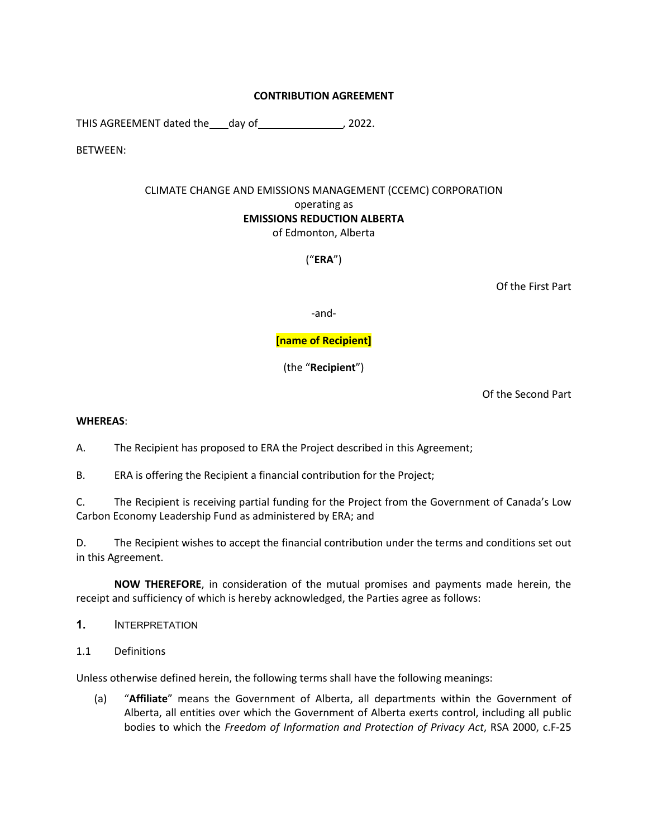## **CONTRIBUTION AGREEMENT**

THIS AGREEMENT dated the day of , 2022.

BETWEEN:

# CLIMATE CHANGE AND EMISSIONS MANAGEMENT (CCEMC) CORPORATION operating as **EMISSIONS REDUCTION ALBERTA** of Edmonton, Alberta

("**ERA**")

Of the First Part

-and-

# **[name of Recipient]**

(the "**Recipient**")

Of the Second Part

#### **WHEREAS**:

A. The Recipient has proposed to ERA the Project described in this Agreement;

B. ERA is offering the Recipient a financial contribution for the Project;

C. The Recipient is receiving partial funding for the Project from the Government of Canada's Low Carbon Economy Leadership Fund as administered by ERA; and

D. The Recipient wishes to accept the financial contribution under the terms and conditions set out in this Agreement.

**NOW THEREFORE**, in consideration of the mutual promises and payments made herein, the receipt and sufficiency of which is hereby acknowledged, the Parties agree as follows:

- **1.** INTERPRETATION
- 1.1 Definitions

Unless otherwise defined herein, the following terms shall have the following meanings:

(a) "**Affiliate**" means the Government of Alberta, all departments within the Government of Alberta, all entities over which the Government of Alberta exerts control, including all public bodies to which the *Freedom of Information and Protection of Privacy Act*, RSA 2000, c.F-25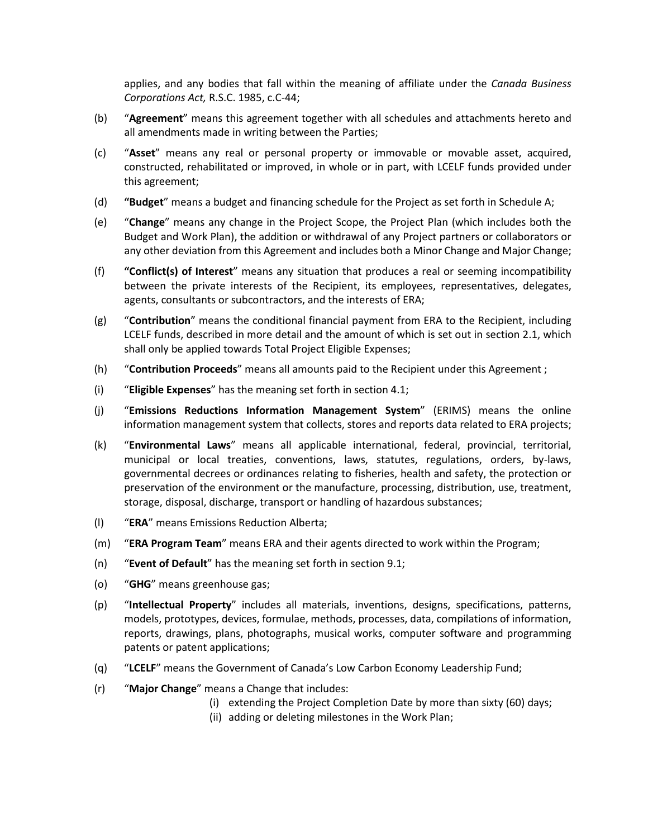applies, and any bodies that fall within the meaning of affiliate under the *Canada Business Corporations Act,* R.S.C. 1985, c.C-44;

- (b) "**Agreement**" means this agreement together with all schedules and attachments hereto and all amendments made in writing between the Parties;
- (c) "**Asset**" means any real or personal property or immovable or movable asset, acquired, constructed, rehabilitated or improved, in whole or in part, with LCELF funds provided under this agreement;
- (d) **"Budget**" means a budget and financing schedule for the Project as set forth in Schedule A;
- (e) "**Change**" means any change in the Project Scope, the Project Plan (which includes both the Budget and Work Plan), the addition or withdrawal of any Project partners or collaborators or any other deviation from this Agreement and includes both a Minor Change and Major Change;
- (f) **"Conflict(s) of Interest**" means any situation that produces a real or seeming incompatibility between the private interests of the Recipient, its employees, representatives, delegates, agents, consultants or subcontractors, and the interests of ERA;
- (g) "**Contribution**" means the conditional financial payment from ERA to the Recipient, including LCELF funds, described in more detail and the amount of which is set out in section [2.1,](#page-4-0) which shall only be applied towards Total Project Eligible Expenses;
- (h) "**Contribution Proceeds**" means all amounts paid to the Recipient under this Agreement ;
- (i) "**Eligible Expenses**" has the meaning set forth in section [4.1;](#page-6-0)
- (j) "**Emissions Reductions Information Management System**" (ERIMS) means the online information management system that collects, stores and reports data related to ERA projects;
- (k) "**Environmental Laws**" means all applicable international, federal, provincial, territorial, municipal or local treaties, conventions, laws, statutes, regulations, orders, by-laws, governmental decrees or ordinances relating to fisheries, health and safety, the protection or preservation of the environment or the manufacture, processing, distribution, use, treatment, storage, disposal, discharge, transport or handling of hazardous substances;
- (l) "**ERA**" means Emissions Reduction Alberta;
- (m) "**ERA Program Team**" means ERA and their agents directed to work within the Program;
- (n) "**Event of Default**" has the meaning set forth in section [9.1;](#page-10-0)
- (o) "**GHG**" means greenhouse gas;
- (p) "**Intellectual Property**" includes all materials, inventions, designs, specifications, patterns, models, prototypes, devices, formulae, methods, processes, data, compilations of information, reports, drawings, plans, photographs, musical works, computer software and programming patents or patent applications;
- (q) "**LCELF**" means the Government of Canada's Low Carbon Economy Leadership Fund;
- (r) "**Major Change**" means a Change that includes:
	- (i) extending the Project Completion Date by more than sixty (60) days;
	- (ii) adding or deleting milestones in the Work Plan;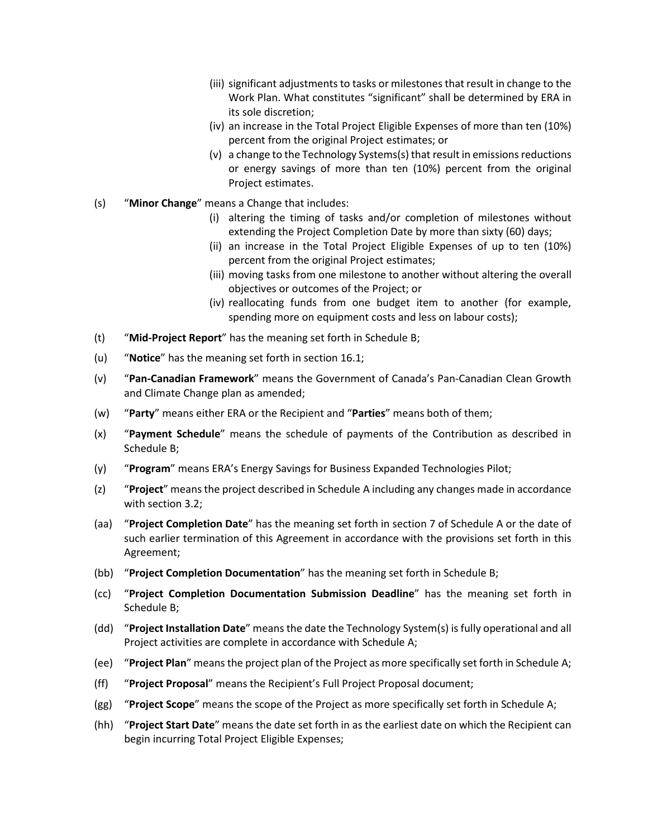- (iii) significant adjustments to tasks or milestones that result in change to the Work Plan. What constitutes "significant" shall be determined by ERA in its sole discretion;
- (iv) an increase in the Total Project Eligible Expenses of more than ten (10%) percent from the original Project estimates; or
- (v) a change to the Technology Systems(s) that result in emissions reductions or energy savings of more than ten (10%) percent from the original Project estimates.
- (s) "**Minor Change**" means a Change that includes:
	- (i) altering the timing of tasks and/or completion of milestones without extending the Project Completion Date by more than sixty (60) days;
	- (ii) an increase in the Total Project Eligible Expenses of up to ten (10%) percent from the original Project estimates;
	- (iii) moving tasks from one milestone to another without altering the overall objectives or outcomes of the Project; or
	- (iv) reallocating funds from one budget item to another (for example, spending more on equipment costs and less on labour costs);
- (t) "**Mid-Project Report**" has the meaning set forth in [Schedule](#page-18-0) B;
- (u) "**Notice**" has the meaning set forth in section [16.1;](#page-13-0)
- (v) "**Pan-Canadian Framework**" means the Government of Canada's Pan-Canadian Clean Growth and Climate Change plan as amended;
- (w) "**Party**" means either ERA or the Recipient and "**Parties**" means both of them;
- (x) "**Payment Schedule**" means the schedule of payments of the Contribution as described in [Schedule](#page-18-0) B;
- (y) "**Program**" means ERA's Energy Savings for Business Expanded Technologies Pilot;
- (z) "**Project**" means the project described in Schedule A including any changes made in accordance with section 3.2;
- (aa) "**Project Completion Date**" has the meaning set forth in section 7 of Schedule A or the date of such earlier termination of this Agreement in accordance with the provisions set forth in this Agreement;
- (bb) "**Project Completion Documentation**" has the meaning set forth in Schedule B;
- (cc) "**Project Completion Documentation Submission Deadline**" has the meaning set forth in Schedule B;
- (dd) "**Project Installation Date**" means the date the Technology System(s) is fully operational and all Project activities are complete in accordance with Schedule A;
- (ee) "**Project Plan**" means the project plan of the Project as more specifically set forth in Schedule A;
- (ff) "**Project Proposal**" means the Recipient's Full Project Proposal document;
- (gg) "**Project Scope**" means the scope of the Project as more specifically set forth in Schedule A;
- (hh) "**Project Start Date**" means the date set forth in as the earliest date on which the Recipient can begin incurring Total Project Eligible Expenses;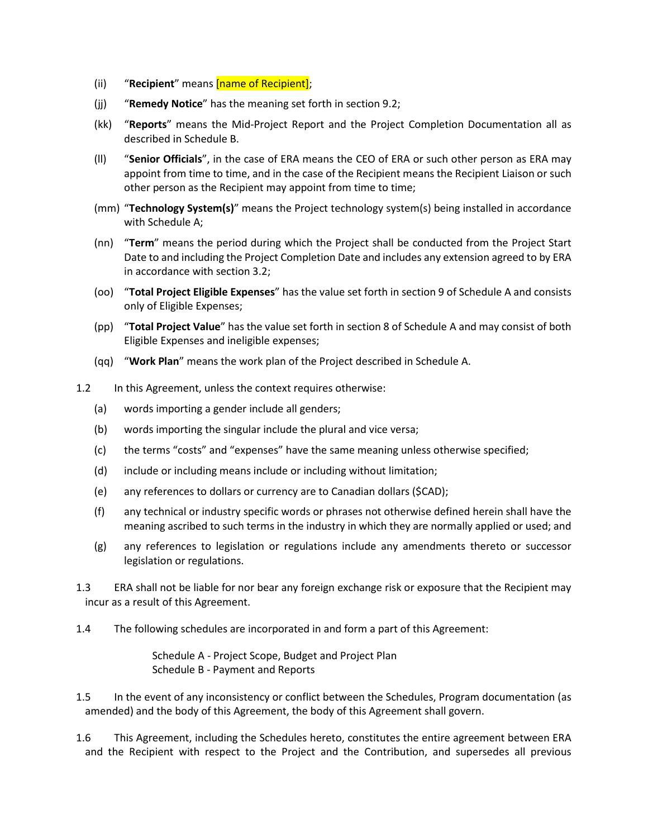- (ii) "**Recipient**" means [name of Recipient];
- (jj) "**Remedy Notice**" has the meaning set forth in sectio[n 9.2;](#page-10-1)
- (kk) "**Reports**" means the Mid-Project Report and the Project Completion Documentation all as described in [Schedule](#page-18-0) B.
- (ll) "**Senior Officials**", in the case of ERA means the CEO of ERA or such other person as ERA may appoint from time to time, and in the case of the Recipient means the Recipient Liaison or such other person as the Recipient may appoint from time to time;
- (mm) "**Technology System(s)**" means the Project technology system(s) being installed in accordance with Schedule A;
- (nn) "**Term**" means the period during which the Project shall be conducted from the Project Start Date to and including the Project Completion Date and includes any extension agreed to by ERA in accordance with section 3.2;
- (oo) "**Total Project Eligible Expenses**" has the value set forth in section 9 of Schedule A and consists only of Eligible Expenses;
- (pp) "**Total Project Value**" has the value set forth in section 8 of Schedule A and may consist of both Eligible Expenses and ineligible expenses;
- (qq) "**Work Plan**" means the work plan of the Project described in Schedule A.
- 1.2 In this Agreement, unless the context requires otherwise:
	- (a) words importing a gender include all genders;
	- (b) words importing the singular include the plural and vice versa;
	- (c) the terms "costs" and "expenses" have the same meaning unless otherwise specified;
	- (d) include or including means include or including without limitation;
	- (e) any references to dollars or currency are to Canadian dollars (\$CAD);
	- (f) any technical or industry specific words or phrases not otherwise defined herein shall have the meaning ascribed to such terms in the industry in which they are normally applied or used; and
	- (g) any references to legislation or regulations include any amendments thereto or successor legislation or regulations.
- 1.3 ERA shall not be liable for nor bear any foreign exchange risk or exposure that the Recipient may incur as a result of this Agreement.
- 1.4 The following schedules are incorporated in and form a part of this Agreement:

Schedule A - Project Scope, Budget and Project Plan [Schedule](#page-18-0) B - Payment and Reports

- 1.5 In the event of any inconsistency or conflict between the Schedules, Program documentation (as amended) and the body of this Agreement, the body of this Agreement shall govern.
- 1.6 This Agreement, including the Schedules hereto, constitutes the entire agreement between ERA and the Recipient with respect to the Project and the Contribution, and supersedes all previous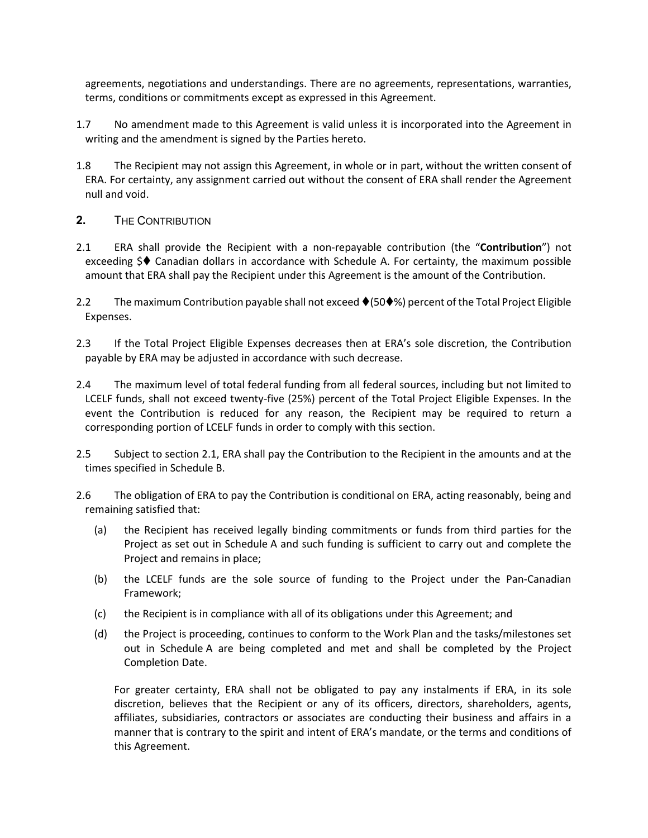agreements, negotiations and understandings. There are no agreements, representations, warranties, terms, conditions or commitments except as expressed in this Agreement.

- 1.7 No amendment made to this Agreement is valid unless it is incorporated into the Agreement in writing and the amendment is signed by the Parties hereto.
- 1.8 The Recipient may not assign this Agreement, in whole or in part, without the written consent of ERA. For certainty, any assignment carried out without the consent of ERA shall render the Agreement null and void.
- <span id="page-4-0"></span>**2.** THE CONTRIBUTION
- 2.1 ERA shall provide the Recipient with a non-repayable contribution (the "**Contribution**") not exceeding  $\Diamond \blacklozenge$  Canadian dollars in accordance with Schedule A. For certainty, the maximum possible amount that ERA shall pay the Recipient under this Agreement is the amount of the Contribution.
- <span id="page-4-1"></span>2.2 The maximum Contribution payable shall not exceed ♦ (50♦%) percent of the Total Project Eligible Expenses.
- 2.3 If the Total Project Eligible Expenses decreases then at ERA's sole discretion, the Contribution payable by ERA may be adjusted in accordance with such decrease.
- 2.4 The maximum level of total federal funding from all federal sources, including but not limited to LCELF funds, shall not exceed twenty-five (25%) percent of the Total Project Eligible Expenses. In the event the Contribution is reduced for any reason, the Recipient may be required to return a corresponding portion of LCELF funds in order to comply with this section.
- 2.5 Subject to sectio[n 2.1,](#page-4-0) ERA shall pay the Contribution to the Recipient in the amounts and at the times specified in [Schedule](#page-18-0) B.
- 2.6 The obligation of ERA to pay the Contribution is conditional on ERA, acting reasonably, being and remaining satisfied that:
	- (a) the Recipient has received legally binding commitments or funds from third parties for the Project as set out in Schedule A and such funding is sufficient to carry out and complete the Project and remains in place;
	- (b) the LCELF funds are the sole source of funding to the Project under the Pan-Canadian Framework;
	- (c) the Recipient is in compliance with all of its obligations under this Agreement; and
	- (d) the Project is proceeding, continues to conform to the Work Plan and the tasks/milestones set out in Schedule A are being completed and met and shall be completed by the Project Completion Date.

For greater certainty, ERA shall not be obligated to pay any instalments if ERA, in its sole discretion, believes that the Recipient or any of its officers, directors, shareholders, agents, affiliates, subsidiaries, contractors or associates are conducting their business and affairs in a manner that is contrary to the spirit and intent of ERA's mandate, or the terms and conditions of this Agreement.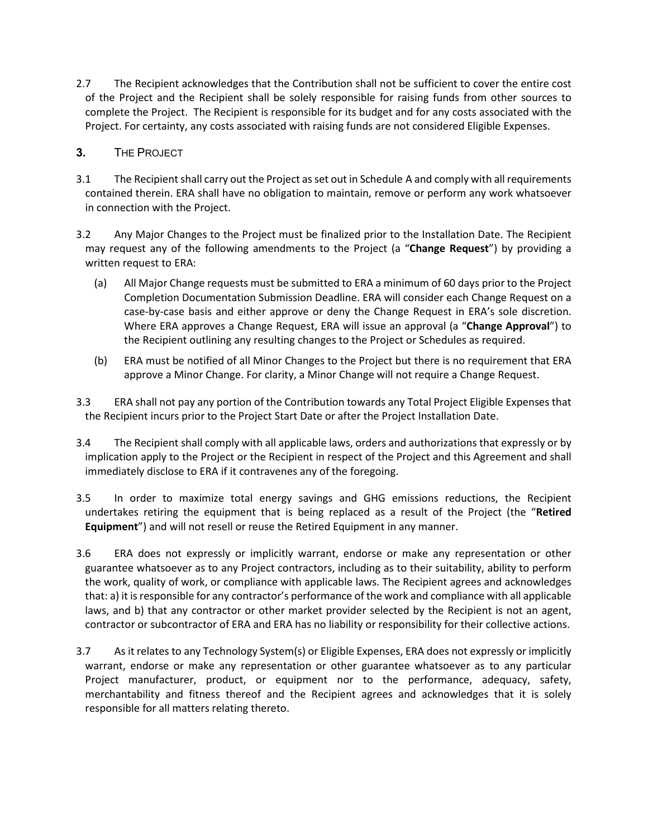2.7 The Recipient acknowledges that the Contribution shall not be sufficient to cover the entire cost of the Project and the Recipient shall be solely responsible for raising funds from other sources to complete the Project. The Recipient is responsible for its budget and for any costs associated with the Project. For certainty, any costs associated with raising funds are not considered Eligible Expenses.

# **3.** THE PROJECT

- 3.1 The Recipient shall carry out the Project as set out in Schedule A and comply with all requirements contained therein. ERA shall have no obligation to maintain, remove or perform any work whatsoever in connection with the Project.
- <span id="page-5-0"></span>3.2 Any Major Changes to the Project must be finalized prior to the Installation Date. The Recipient may request any of the following amendments to the Project (a "**Change Request**") by providing a written request to ERA:
	- (a) All Major Change requests must be submitted to ERA a minimum of 60 days prior to the Project Completion Documentation Submission Deadline. ERA will consider each Change Request on a case-by-case basis and either approve or deny the Change Request in ERA's sole discretion. Where ERA approves a Change Request, ERA will issue an approval (a "**Change Approval**") to the Recipient outlining any resulting changes to the Project or Schedules as required.
	- (b) ERA must be notified of all Minor Changes to the Project but there is no requirement that ERA approve a Minor Change. For clarity, a Minor Change will not require a Change Request.
- 3.3 ERA shall not pay any portion of the Contribution towards any Total Project Eligible Expenses that the Recipient incurs prior to the Project Start Date or after the Project Installation Date.
- 3.4 The Recipient shall comply with all applicable laws, orders and authorizations that expressly or by implication apply to the Project or the Recipient in respect of the Project and this Agreement and shall immediately disclose to ERA if it contravenes any of the foregoing.
- 3.5 In order to maximize total energy savings and GHG emissions reductions, the Recipient undertakes retiring the equipment that is being replaced as a result of the Project (the "**Retired Equipment**") and will not resell or reuse the Retired Equipment in any manner.
- 3.6 ERA does not expressly or implicitly warrant, endorse or make any representation or other guarantee whatsoever as to any Project contractors, including as to their suitability, ability to perform the work, quality of work, or compliance with applicable laws. The Recipient agrees and acknowledges that: a) it is responsible for any contractor's performance of the work and compliance with all applicable laws, and b) that any contractor or other market provider selected by the Recipient is not an agent, contractor or subcontractor of ERA and ERA has no liability or responsibility for their collective actions.
- 3.7 As it relates to any Technology System(s) or Eligible Expenses, ERA does not expressly or implicitly warrant, endorse or make any representation or other guarantee whatsoever as to any particular Project manufacturer, product, or equipment nor to the performance, adequacy, safety, merchantability and fitness thereof and the Recipient agrees and acknowledges that it is solely responsible for all matters relating thereto.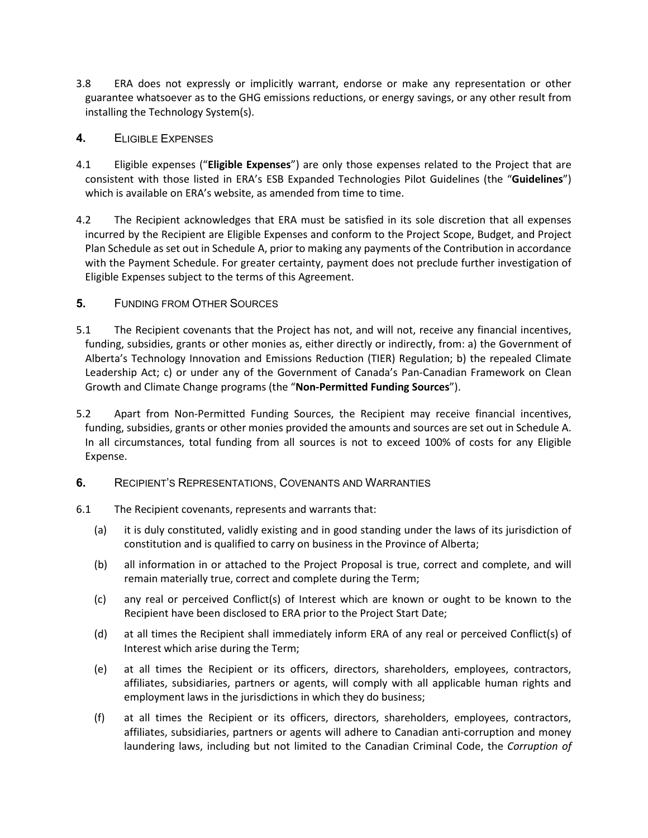- 3.8 ERA does not expressly or implicitly warrant, endorse or make any representation or other guarantee whatsoever as to the GHG emissions reductions, or energy savings, or any other result from installing the Technology System(s).
- <span id="page-6-0"></span>**4.** ELIGIBLE EXPENSES
- 4.1 Eligible expenses ("**Eligible Expenses**") are only those expenses related to the Project that are consistent with those listed in ERA's ESB Expanded Technologies Pilot Guidelines (the "**Guidelines**") which is available on ERA's website, as amended from time to time.
- 4.2 The Recipient acknowledges that ERA must be satisfied in its sole discretion that all expenses incurred by the Recipient are Eligible Expenses and conform to the Project Scope, Budget, and Project Plan Schedule as set out in Schedule A, prior to making any payments of the Contribution in accordance with the Payment Schedule. For greater certainty, payment does not preclude further investigation of Eligible Expenses subject to the terms of this Agreement.
- **5.** FUNDING FROM OTHER SOURCES
- 5.1 The Recipient covenants that the Project has not, and will not, receive any financial incentives, funding, subsidies, grants or other monies as, either directly or indirectly, from: a) the Government of Alberta's Technology Innovation and Emissions Reduction (TIER) Regulation; b) the repealed Climate Leadership Act; c) or under any of the Government of Canada's Pan-Canadian Framework on Clean Growth and Climate Change programs (the "**Non-Permitted Funding Sources**").
- 5.2 Apart from Non-Permitted Funding Sources, the Recipient may receive financial incentives, funding, subsidies, grants or other monies provided the amounts and sources are set out in Schedule A. In all circumstances, total funding from all sources is not to exceed 100% of costs for any Eligible Expense.
- **6.** RECIPIENT'S REPRESENTATIONS, COVENANTS AND WARRANTIES
- 6.1 The Recipient covenants, represents and warrants that:
	- (a) it is duly constituted, validly existing and in good standing under the laws of its jurisdiction of constitution and is qualified to carry on business in the Province of Alberta;
	- (b) all information in or attached to the Project Proposal is true, correct and complete, and will remain materially true, correct and complete during the Term;
	- (c) any real or perceived Conflict(s) of Interest which are known or ought to be known to the Recipient have been disclosed to ERA prior to the Project Start Date;
	- (d) at all times the Recipient shall immediately inform ERA of any real or perceived Conflict(s) of Interest which arise during the Term;
	- (e) at all times the Recipient or its officers, directors, shareholders, employees, contractors, affiliates, subsidiaries, partners or agents, will comply with all applicable human rights and employment laws in the jurisdictions in which they do business;
	- (f) at all times the Recipient or its officers, directors, shareholders, employees, contractors, affiliates, subsidiaries, partners or agents will adhere to Canadian anti-corruption and money laundering laws, including but not limited to the Canadian Criminal Code, the *Corruption of*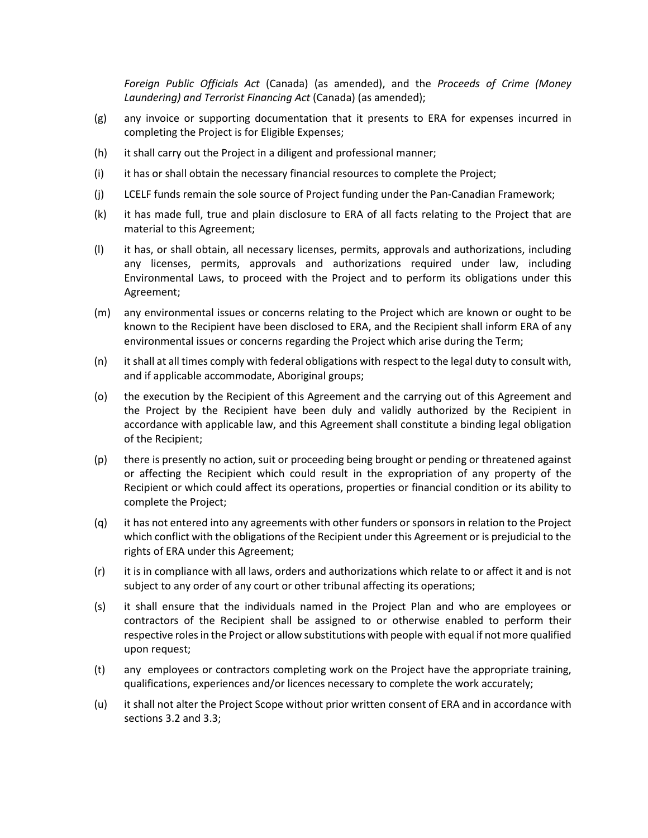*Foreign Public Officials Act* (Canada) (as amended), and the *Proceeds of Crime (Money Laundering) and Terrorist Financing Act* (Canada) (as amended);

- (g) any invoice or supporting documentation that it presents to ERA for expenses incurred in completing the Project is for Eligible Expenses;
- (h) it shall carry out the Project in a diligent and professional manner;
- (i) it has or shall obtain the necessary financial resources to complete the Project;
- (j) LCELF funds remain the sole source of Project funding under the Pan-Canadian Framework;
- (k) it has made full, true and plain disclosure to ERA of all facts relating to the Project that are material to this Agreement;
- (l) it has, or shall obtain, all necessary licenses, permits, approvals and authorizations, including any licenses, permits, approvals and authorizations required under law, including Environmental Laws, to proceed with the Project and to perform its obligations under this Agreement;
- (m) any environmental issues or concerns relating to the Project which are known or ought to be known to the Recipient have been disclosed to ERA, and the Recipient shall inform ERA of any environmental issues or concerns regarding the Project which arise during the Term;
- (n) it shall at all times comply with federal obligations with respect to the legal duty to consult with, and if applicable accommodate, Aboriginal groups;
- (o) the execution by the Recipient of this Agreement and the carrying out of this Agreement and the Project by the Recipient have been duly and validly authorized by the Recipient in accordance with applicable law, and this Agreement shall constitute a binding legal obligation of the Recipient;
- (p) there is presently no action, suit or proceeding being brought or pending or threatened against or affecting the Recipient which could result in the expropriation of any property of the Recipient or which could affect its operations, properties or financial condition or its ability to complete the Project;
- (q) it has not entered into any agreements with other funders or sponsors in relation to the Project which conflict with the obligations of the Recipient under this Agreement or is prejudicial to the rights of ERA under this Agreement;
- (r) it is in compliance with all laws, orders and authorizations which relate to or affect it and is not subject to any order of any court or other tribunal affecting its operations;
- (s) it shall ensure that the individuals named in the Project Plan and who are employees or contractors of the Recipient shall be assigned to or otherwise enabled to perform their respective roles in the Project or allow substitutions with people with equal if not more qualified upon request;
- (t) any employees or contractors completing work on the Project have the appropriate training, qualifications, experiences and/or licences necessary to complete the work accurately;
- (u) it shall not alter the Project Scope without prior written consent of ERA and in accordance with sections 3.2 and [3.3;](#page-5-0)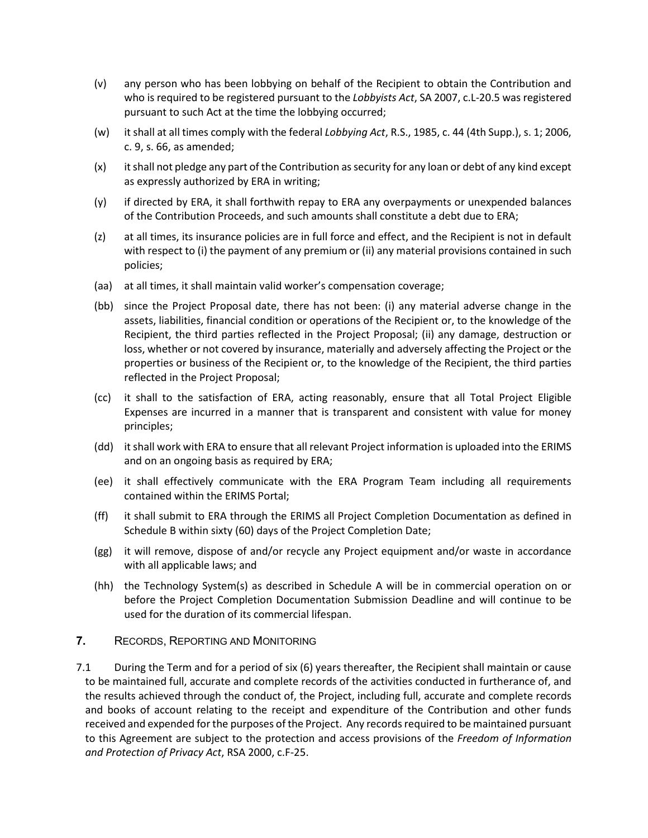- (v) any person who has been lobbying on behalf of the Recipient to obtain the Contribution and who is required to be registered pursuant to the *Lobbyists Act*, SA 2007, c.L-20.5 was registered pursuant to such Act at the time the lobbying occurred;
- (w) it shall at all times comply with the federal *Lobbying Act*, R.S., 1985, c. 44 (4th Supp.), s. 1; 2006, c. 9, s. 66, as amended;
- (x) it shall not pledge any part of the Contribution as security for any loan or debt of any kind except as expressly authorized by ERA in writing;
- (y) if directed by ERA, it shall forthwith repay to ERA any overpayments or unexpended balances of the Contribution Proceeds, and such amounts shall constitute a debt due to ERA;
- (z) at all times, its insurance policies are in full force and effect, and the Recipient is not in default with respect to (i) the payment of any premium or (ii) any material provisions contained in such policies;
- (aa) at all times, it shall maintain valid worker's compensation coverage;
- (bb) since the Project Proposal date, there has not been: (i) any material adverse change in the assets, liabilities, financial condition or operations of the Recipient or, to the knowledge of the Recipient, the third parties reflected in the Project Proposal; (ii) any damage, destruction or loss, whether or not covered by insurance, materially and adversely affecting the Project or the properties or business of the Recipient or, to the knowledge of the Recipient, the third parties reflected in the Project Proposal;
- (cc) it shall to the satisfaction of ERA, acting reasonably, ensure that all Total Project Eligible Expenses are incurred in a manner that is transparent and consistent with value for money principles;
- (dd) it shall work with ERA to ensure that all relevant Project information is uploaded into the ERIMS and on an ongoing basis as required by ERA;
- (ee) it shall effectively communicate with the ERA Program Team including all requirements contained within the ERIMS Portal;
- (ff) it shall submit to ERA through the ERIMS all Project Completion Documentation as defined in Schedule B within sixty (60) days of the Project Completion Date;
- (gg) it will remove, dispose of and/or recycle any Project equipment and/or waste in accordance with all applicable laws; and
- (hh) the Technology System(s) as described in Schedule A will be in commercial operation on or before the Project Completion Documentation Submission Deadline and will continue to be used for the duration of its commercial lifespan.
- **7.** RECORDS, REPORTING AND MONITORING
- 7.1 During the Term and for a period of six (6) years thereafter, the Recipient shall maintain or cause to be maintained full, accurate and complete records of the activities conducted in furtherance of, and the results achieved through the conduct of, the Project, including full, accurate and complete records and books of account relating to the receipt and expenditure of the Contribution and other funds received and expended for the purposes of the Project. Any records required to be maintained pursuant to this Agreement are subject to the protection and access provisions of the *Freedom of Information and Protection of Privacy Act*, RSA 2000, c.F-25.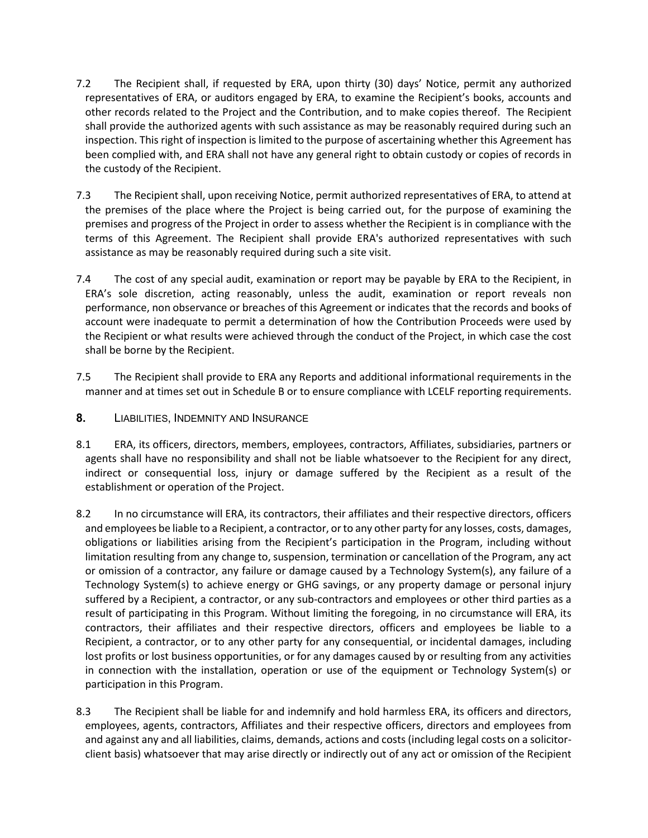- 7.2 The Recipient shall, if requested by ERA, upon thirty (30) days' Notice, permit any authorized representatives of ERA, or auditors engaged by ERA, to examine the Recipient's books, accounts and other records related to the Project and the Contribution, and to make copies thereof. The Recipient shall provide the authorized agents with such assistance as may be reasonably required during such an inspection. This right of inspection is limited to the purpose of ascertaining whether this Agreement has been complied with, and ERA shall not have any general right to obtain custody or copies of records in the custody of the Recipient.
- 7.3 The Recipient shall, upon receiving Notice, permit authorized representatives of ERA, to attend at the premises of the place where the Project is being carried out, for the purpose of examining the premises and progress of the Project in order to assess whether the Recipient is in compliance with the terms of this Agreement. The Recipient shall provide ERA's authorized representatives with such assistance as may be reasonably required during such a site visit.
- 7.4 The cost of any special audit, examination or report may be payable by ERA to the Recipient, in ERA's sole discretion, acting reasonably, unless the audit, examination or report reveals non performance, non observance or breaches of this Agreement or indicates that the records and books of account were inadequate to permit a determination of how the Contribution Proceeds were used by the Recipient or what results were achieved through the conduct of the Project, in which case the cost shall be borne by the Recipient.
- 7.5 The Recipient shall provide to ERA any Reports and additional informational requirements in the manner and at times set out in Schedule B or to ensure compliance with LCELF reporting requirements.
- **8.** LIABILITIES, INDEMNITY AND INSURANCE
- 8.1 ERA, its officers, directors, members, employees, contractors, Affiliates, subsidiaries, partners or agents shall have no responsibility and shall not be liable whatsoever to the Recipient for any direct, indirect or consequential loss, injury or damage suffered by the Recipient as a result of the establishment or operation of the Project.
- 8.2 In no circumstance will ERA, its contractors, their affiliates and their respective directors, officers and employees be liable to a Recipient, a contractor, or to any other party for any losses, costs, damages, obligations or liabilities arising from the Recipient's participation in the Program, including without limitation resulting from any change to, suspension, termination or cancellation of the Program, any act or omission of a contractor, any failure or damage caused by a Technology System(s), any failure of a Technology System(s) to achieve energy or GHG savings, or any property damage or personal injury suffered by a Recipient, a contractor, or any sub-contractors and employees or other third parties as a result of participating in this Program. Without limiting the foregoing, in no circumstance will ERA, its contractors, their affiliates and their respective directors, officers and employees be liable to a Recipient, a contractor, or to any other party for any consequential, or incidental damages, including lost profits or lost business opportunities, or for any damages caused by or resulting from any activities in connection with the installation, operation or use of the equipment or Technology System(s) or participation in this Program.
- 8.3 The Recipient shall be liable for and indemnify and hold harmless ERA, its officers and directors, employees, agents, contractors, Affiliates and their respective officers, directors and employees from and against any and all liabilities, claims, demands, actions and costs (including legal costs on a solicitorclient basis) whatsoever that may arise directly or indirectly out of any act or omission of the Recipient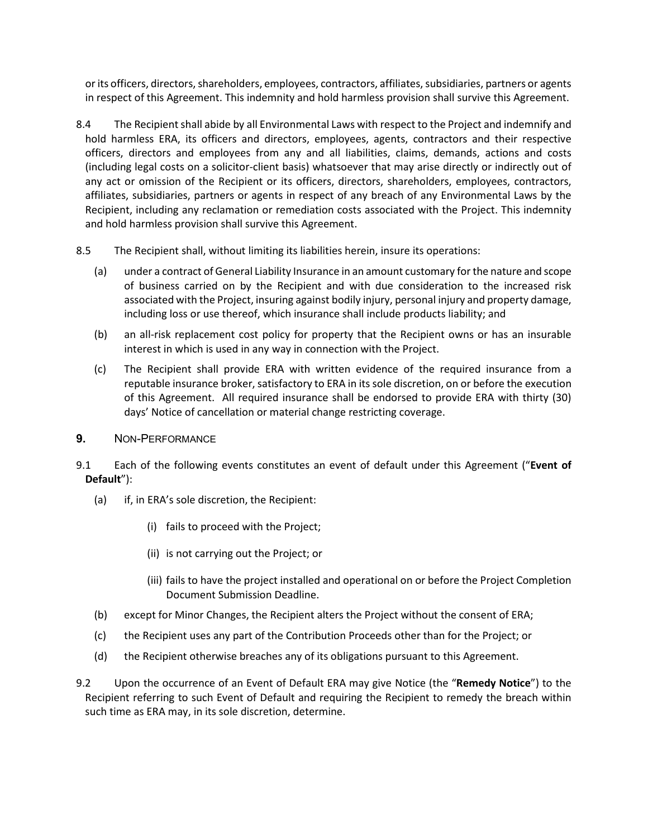or its officers, directors, shareholders, employees, contractors, affiliates, subsidiaries, partners or agents in respect of this Agreement. This indemnity and hold harmless provision shall survive this Agreement.

- 8.4 The Recipient shall abide by all Environmental Laws with respect to the Project and indemnify and hold harmless ERA, its officers and directors, employees, agents, contractors and their respective officers, directors and employees from any and all liabilities, claims, demands, actions and costs (including legal costs on a solicitor-client basis) whatsoever that may arise directly or indirectly out of any act or omission of the Recipient or its officers, directors, shareholders, employees, contractors, affiliates, subsidiaries, partners or agents in respect of any breach of any Environmental Laws by the Recipient, including any reclamation or remediation costs associated with the Project. This indemnity and hold harmless provision shall survive this Agreement.
- 8.5 The Recipient shall, without limiting its liabilities herein, insure its operations:
	- (a) under a contract of General Liability Insurance in an amount customary for the nature and scope of business carried on by the Recipient and with due consideration to the increased risk associated with the Project, insuring against bodily injury, personal injury and property damage, including loss or use thereof, which insurance shall include products liability; and
	- (b) an all-risk replacement cost policy for property that the Recipient owns or has an insurable interest in which is used in any way in connection with the Project.
	- (c) The Recipient shall provide ERA with written evidence of the required insurance from a reputable insurance broker, satisfactory to ERA in its sole discretion, on or before the execution of this Agreement. All required insurance shall be endorsed to provide ERA with thirty (30) days' Notice of cancellation or material change restricting coverage.
- <span id="page-10-0"></span>**9.** NON-PERFORMANCE
- 9.1 Each of the following events constitutes an event of default under this Agreement ("**Event of Default**"):
	- (a) if, in ERA's sole discretion, the Recipient:
		- (i) fails to proceed with the Project;
		- (ii) is not carrying out the Project; or
		- (iii) fails to have the project installed and operational on or before the Project Completion Document Submission Deadline.
	- (b) except for Minor Changes, the Recipient alters the Project without the consent of ERA;
	- (c) the Recipient uses any part of the Contribution Proceeds other than for the Project; or
	- (d) the Recipient otherwise breaches any of its obligations pursuant to this Agreement.
- <span id="page-10-1"></span>9.2 Upon the occurrence of an Event of Default ERA may give Notice (the "**Remedy Notice**") to the Recipient referring to such Event of Default and requiring the Recipient to remedy the breach within such time as ERA may, in its sole discretion, determine.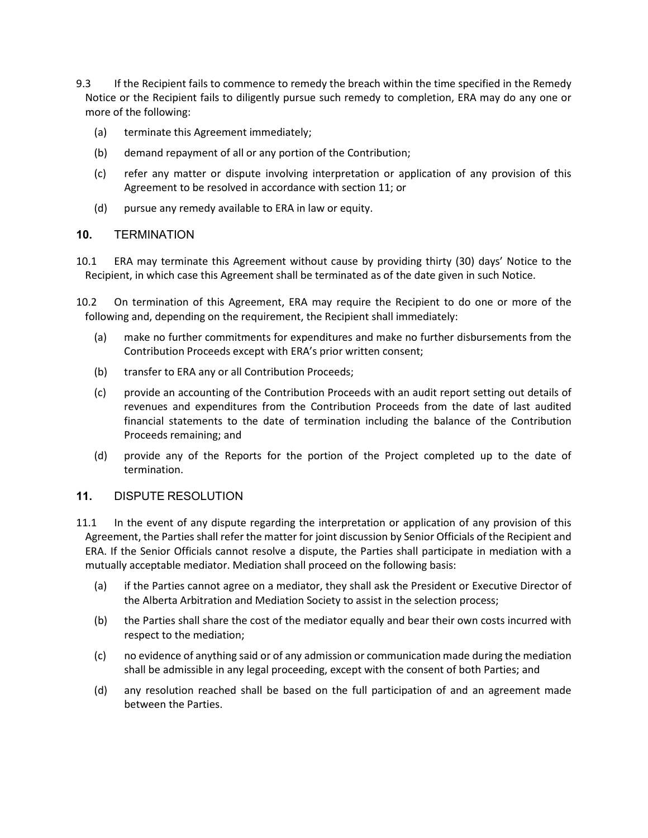- 9.3 If the Recipient fails to commence to remedy the breach within the time specified in the Remedy Notice or the Recipient fails to diligently pursue such remedy to completion, ERA may do any one or more of the following:
	- (a) terminate this Agreement immediately;
	- (b) demand repayment of all or any portion of the Contribution;
	- (c) refer any matter or dispute involving interpretation or application of any provision of this Agreement to be resolved in accordance with section 11; or
	- (d) pursue any remedy available to ERA in law or equity.

## **10.** TERMINATION

- 10.1 ERA may terminate this Agreement without cause by providing thirty (30) days' Notice to the Recipient, in which case this Agreement shall be terminated as of the date given in such Notice.
- 10.2 On termination of this Agreement, ERA may require the Recipient to do one or more of the following and, depending on the requirement, the Recipient shall immediately:
	- (a) make no further commitments for expenditures and make no further disbursements from the Contribution Proceeds except with ERA's prior written consent;
	- (b) transfer to ERA any or all Contribution Proceeds;
	- (c) provide an accounting of the Contribution Proceeds with an audit report setting out details of revenues and expenditures from the Contribution Proceeds from the date of last audited financial statements to the date of termination including the balance of the Contribution Proceeds remaining; and
	- (d) provide any of the Reports for the portion of the Project completed up to the date of termination.

# **11.** DISPUTE RESOLUTION

- 11.1 In the event of any dispute regarding the interpretation or application of any provision of this Agreement, the Parties shall refer the matter for joint discussion by Senior Officials of the Recipient and ERA. If the Senior Officials cannot resolve a dispute, the Parties shall participate in mediation with a mutually acceptable mediator. Mediation shall proceed on the following basis:
	- (a) if the Parties cannot agree on a mediator, they shall ask the President or Executive Director of the Alberta Arbitration and Mediation Society to assist in the selection process;
	- (b) the Parties shall share the cost of the mediator equally and bear their own costs incurred with respect to the mediation;
	- (c) no evidence of anything said or of any admission or communication made during the mediation shall be admissible in any legal proceeding, except with the consent of both Parties; and
	- (d) any resolution reached shall be based on the full participation of and an agreement made between the Parties.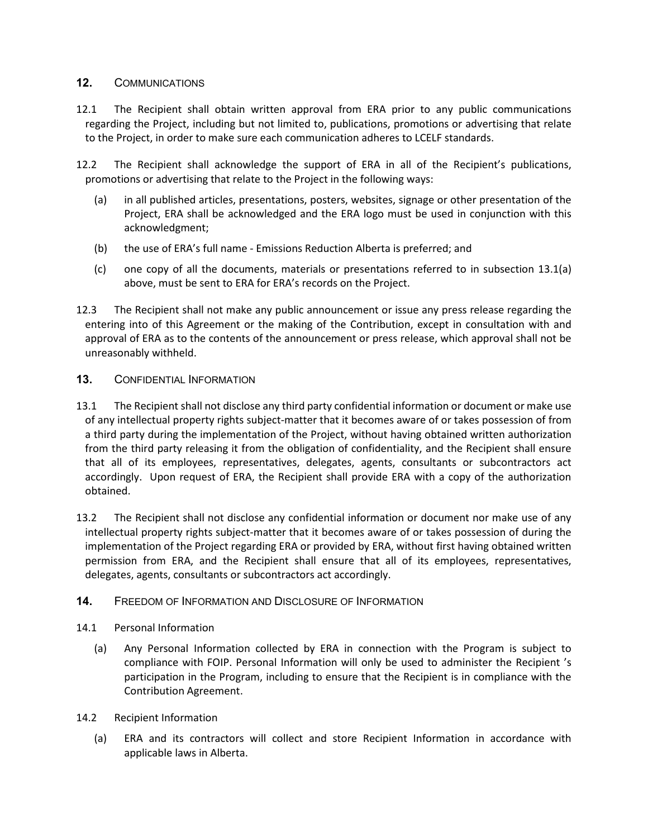## **12.** COMMUNICATIONS

- 12.1 The Recipient shall obtain written approval from ERA prior to any public communications regarding the Project, including but not limited to, publications, promotions or advertising that relate to the Project, in order to make sure each communication adheres to LCELF standards.
- <span id="page-12-0"></span>12.2 The Recipient shall acknowledge the support of ERA in all of the Recipient's publications, promotions or advertising that relate to the Project in the following ways:
	- (a) in all published articles, presentations, posters, websites, signage or other presentation of the Project, ERA shall be acknowledged and the ERA logo must be used in conjunction with this acknowledgment;
	- (b) the use of ERA's full name Emissions Reduction Alberta is preferred; and
	- (c) one copy of all the documents, materials or presentations referred to in subsection [13.1\(a\)](#page-12-0) above, must be sent to ERA for ERA's records on the Project.
- 12.3 The Recipient shall not make any public announcement or issue any press release regarding the entering into of this Agreement or the making of the Contribution, except in consultation with and approval of ERA as to the contents of the announcement or press release, which approval shall not be unreasonably withheld.

## **13.** CONFIDENTIAL INFORMATION

- 13.1 The Recipient shall not disclose any third party confidential information or document or make use of any intellectual property rights subject-matter that it becomes aware of or takes possession of from a third party during the implementation of the Project, without having obtained written authorization from the third party releasing it from the obligation of confidentiality, and the Recipient shall ensure that all of its employees, representatives, delegates, agents, consultants or subcontractors act accordingly. Upon request of ERA, the Recipient shall provide ERA with a copy of the authorization obtained.
- 13.2 The Recipient shall not disclose any confidential information or document nor make use of any intellectual property rights subject-matter that it becomes aware of or takes possession of during the implementation of the Project regarding ERA or provided by ERA, without first having obtained written permission from ERA, and the Recipient shall ensure that all of its employees, representatives, delegates, agents, consultants or subcontractors act accordingly.

#### **14.** FREEDOM OF INFORMATION AND DISCLOSURE OF INFORMATION

#### 14.1 Personal Information

- (a) Any Personal Information collected by ERA in connection with the Program is subject to compliance with FOIP. Personal Information will only be used to administer the Recipient 's participation in the Program, including to ensure that the Recipient is in compliance with the Contribution Agreement.
- 14.2 Recipient Information
	- (a) ERA and its contractors will collect and store Recipient Information in accordance with applicable laws in Alberta.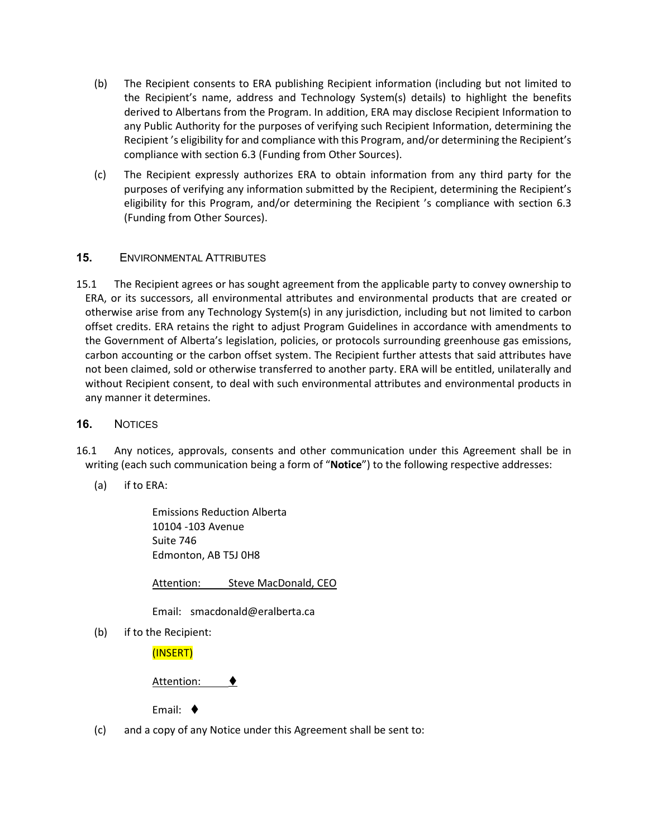- (b) The Recipient consents to ERA publishing Recipient information (including but not limited to the Recipient's name, address and Technology System(s) details) to highlight the benefits derived to Albertans from the Program. In addition, ERA may disclose Recipient Information to any Public Authority for the purposes of verifying such Recipient Information, determining the Recipient 's eligibility for and compliance with this Program, and/or determining the Recipient's compliance with section 6.3 (Funding from Other Sources).
- (c) The Recipient expressly authorizes ERA to obtain information from any third party for the purposes of verifying any information submitted by the Recipient, determining the Recipient's eligibility for this Program, and/or determining the Recipient 's compliance with section 6.3 (Funding from Other Sources).

# **15.** ENVIRONMENTAL ATTRIBUTES

15.1 The Recipient agrees or has sought agreement from the applicable party to convey ownership to ERA, or its successors, all environmental attributes and environmental products that are created or otherwise arise from any Technology System(s) in any jurisdiction, including but not limited to carbon offset credits. ERA retains the right to adjust Program Guidelines in accordance with amendments to the Government of Alberta's legislation, policies, or protocols surrounding greenhouse gas emissions, carbon accounting or the carbon offset system. The Recipient further attests that said attributes have not been claimed, sold or otherwise transferred to another party. ERA will be entitled, unilaterally and without Recipient consent, to deal with such environmental attributes and environmental products in any manner it determines.

#### <span id="page-13-0"></span>**16.** NOTICES

- 16.1 Any notices, approvals, consents and other communication under this Agreement shall be in writing (each such communication being a form of "**Notice**") to the following respective addresses:
	- (a) if to ERA:

Emissions Reduction Alberta 10104 -103 Avenue Suite 746 Edmonton, AB T5J 0H8

Attention: Steve MacDonald, CEO

Email: smacdonald@eralberta.ca

(b) if to the Recipient:

(INSERT)

Attention: ♦

Email:

(c) and a copy of any Notice under this Agreement shall be sent to: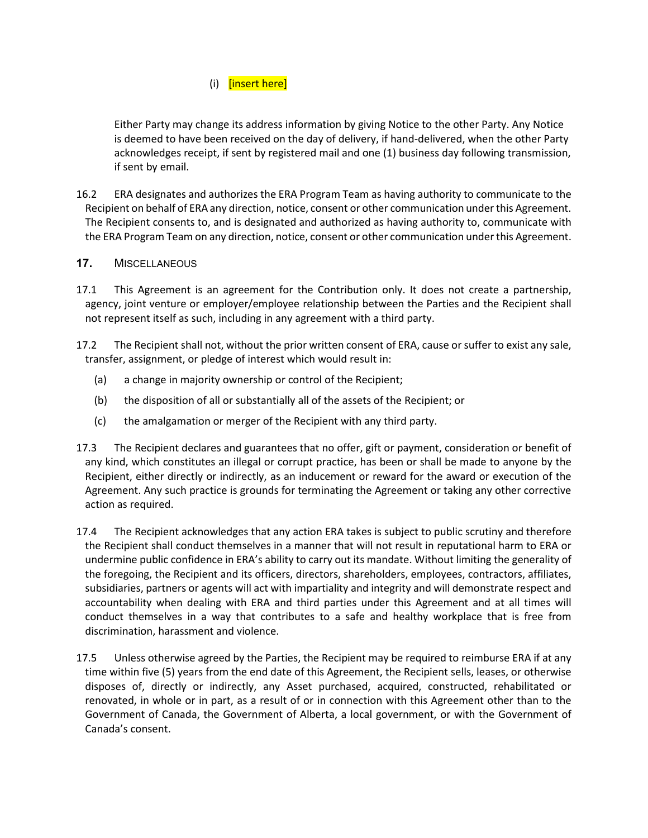# (i) [insert here]

Either Party may change its address information by giving Notice to the other Party. Any Notice is deemed to have been received on the day of delivery, if hand-delivered, when the other Party acknowledges receipt, if sent by registered mail and one (1) business day following transmission, if sent by email.

16.2 ERA designates and authorizes the ERA Program Team as having authority to communicate to the Recipient on behalf of ERA any direction, notice, consent or other communication under this Agreement. The Recipient consents to, and is designated and authorized as having authority to, communicate with the ERA Program Team on any direction, notice, consent or other communication under this Agreement.

## **17.** MISCELLANEOUS

- 17.1 This Agreement is an agreement for the Contribution only. It does not create a partnership, agency, joint venture or employer/employee relationship between the Parties and the Recipient shall not represent itself as such, including in any agreement with a third party.
- 17.2 The Recipient shall not, without the prior written consent of ERA, cause or suffer to exist any sale, transfer, assignment, or pledge of interest which would result in:
	- (a) a change in majority ownership or control of the Recipient;
	- (b) the disposition of all or substantially all of the assets of the Recipient; or
	- (c) the amalgamation or merger of the Recipient with any third party.
- 17.3 The Recipient declares and guarantees that no offer, gift or payment, consideration or benefit of any kind, which constitutes an illegal or corrupt practice, has been or shall be made to anyone by the Recipient, either directly or indirectly, as an inducement or reward for the award or execution of the Agreement. Any such practice is grounds for terminating the Agreement or taking any other corrective action as required.
- 17.4 The Recipient acknowledges that any action ERA takes is subject to public scrutiny and therefore the Recipient shall conduct themselves in a manner that will not result in reputational harm to ERA or undermine public confidence in ERA's ability to carry out its mandate. Without limiting the generality of the foregoing, the Recipient and its officers, directors, shareholders, employees, contractors, affiliates, subsidiaries, partners or agents will act with impartiality and integrity and will demonstrate respect and accountability when dealing with ERA and third parties under this Agreement and at all times will conduct themselves in a way that contributes to a safe and healthy workplace that is free from discrimination, harassment and violence.
- 17.5 Unless otherwise agreed by the Parties, the Recipient may be required to reimburse ERA if at any time within five (5) years from the end date of this Agreement, the Recipient sells, leases, or otherwise disposes of, directly or indirectly, any Asset purchased, acquired, constructed, rehabilitated or renovated, in whole or in part, as a result of or in connection with this Agreement other than to the Government of Canada, the Government of Alberta, a local government, or with the Government of Canada's consent.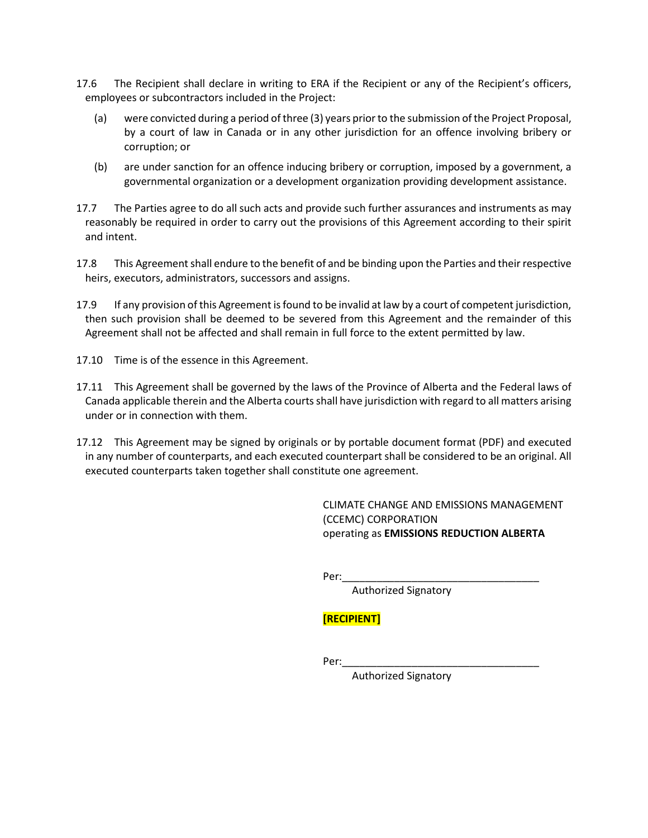- 17.6 The Recipient shall declare in writing to ERA if the Recipient or any of the Recipient's officers, employees or subcontractors included in the Project:
	- (a) were convicted during a period of three (3) years prior to the submission of the Project Proposal, by a court of law in Canada or in any other jurisdiction for an offence involving bribery or corruption; or
	- (b) are under sanction for an offence inducing bribery or corruption, imposed by a government, a governmental organization or a development organization providing development assistance.
- 17.7 The Parties agree to do all such acts and provide such further assurances and instruments as may reasonably be required in order to carry out the provisions of this Agreement according to their spirit and intent.
- 17.8 This Agreement shall endure to the benefit of and be binding upon the Parties and their respective heirs, executors, administrators, successors and assigns.
- 17.9 If any provision of this Agreement is found to be invalid at law by a court of competent jurisdiction, then such provision shall be deemed to be severed from this Agreement and the remainder of this Agreement shall not be affected and shall remain in full force to the extent permitted by law.
- 17.10 Time is of the essence in this Agreement.
- 17.11 This Agreement shall be governed by the laws of the Province of Alberta and the Federal laws of Canada applicable therein and the Alberta courts shall have jurisdiction with regard to all matters arising under or in connection with them.
- 17.12 This Agreement may be signed by originals or by portable document format (PDF) and executed in any number of counterparts, and each executed counterpart shall be considered to be an original. All executed counterparts taken together shall constitute one agreement.

CLIMATE CHANGE AND EMISSIONS MANAGEMENT (CCEMC) CORPORATION operating as **EMISSIONS REDUCTION ALBERTA**

Per:\_\_\_\_\_\_\_\_\_\_\_\_\_\_\_\_\_\_\_\_\_\_\_\_\_\_\_\_\_\_\_\_\_\_

Authorized Signatory

# **[RECIPIENT]**

Per:\_\_\_\_\_\_\_\_\_\_\_\_\_\_\_\_\_\_\_\_\_\_\_\_\_\_\_\_\_\_\_\_\_\_

Authorized Signatory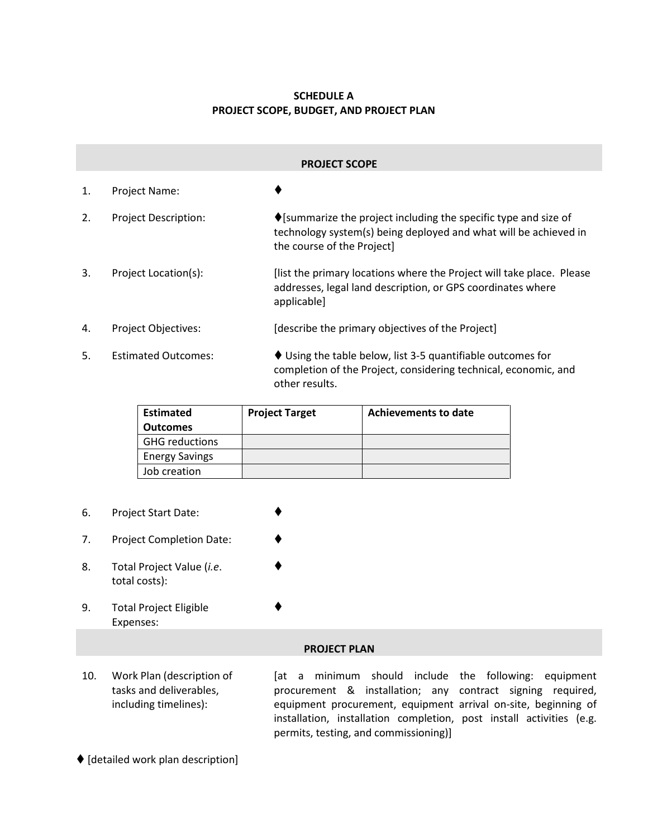# **SCHEDULE A PROJECT SCOPE, BUDGET, AND PROJECT PLAN**

| <b>PROJECT SCOPE</b> |                             |                                                                                                                                                                                  |  |  |  |
|----------------------|-----------------------------|----------------------------------------------------------------------------------------------------------------------------------------------------------------------------------|--|--|--|
| 1.                   | Project Name:               |                                                                                                                                                                                  |  |  |  |
| 2.                   | <b>Project Description:</b> | $\blacklozenge$ [summarize the project including the specific type and size of<br>technology system(s) being deployed and what will be achieved in<br>the course of the Project] |  |  |  |
| 3.                   | Project Location(s):        | [list the primary locations where the Project will take place. Please<br>addresses, legal land description, or GPS coordinates where<br>applicable]                              |  |  |  |
| 4.                   | <b>Project Objectives:</b>  | [describe the primary objectives of the Project]                                                                                                                                 |  |  |  |
| .5.                  | <b>Estimated Outcomes:</b>  | $\blacklozenge$ Using the table below, list 3-5 quantifiable outcomes for<br>completion of the Project, considering technical, economic, and<br>other results.                   |  |  |  |

| <b>Estimated</b>      | <b>Project Target</b> | Achievements to date |
|-----------------------|-----------------------|----------------------|
| <b>Outcomes</b>       |                       |                      |
| <b>GHG reductions</b> |                       |                      |
| <b>Energy Savings</b> |                       |                      |
| Job creation          |                       |                      |

♦

٠

- 6. Project Start Date:
- 7. Project Completion Date:
- 8. Total Project Value (*i.e*. total costs):
- 9. Total Project Eligible Expenses:

#### **PROJECT PLAN**

10. Work Plan (description of tasks and deliverables, including timelines):

[at a minimum should include the following: equipment procurement & installation; any contract signing required, equipment procurement, equipment arrival on-site, beginning of installation, installation completion, post install activities (e.g. permits, testing, and commissioning)]

 $\blacklozenge$  [detailed work plan description]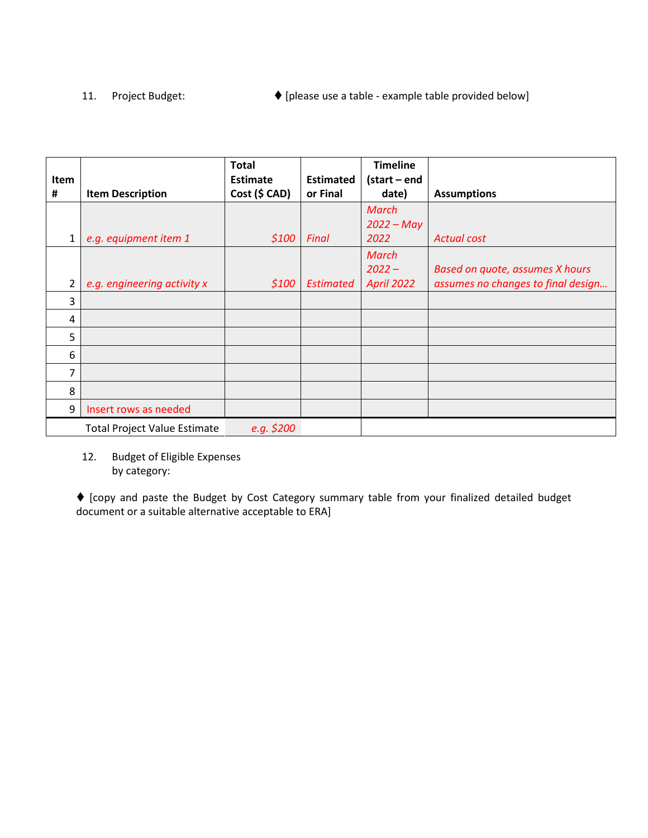# 11. Project Budget:  $\bigcirc$  [please use a table - example table provided below]

| Item |                                     | <b>Total</b><br>Estimate | <b>Estimated</b> | <b>Timeline</b><br>(start – end        |                                                                       |
|------|-------------------------------------|--------------------------|------------------|----------------------------------------|-----------------------------------------------------------------------|
| #    | <b>Item Description</b>             | Cost (\$ CAD)            | or Final         | date)                                  | <b>Assumptions</b>                                                    |
| 1    | e.g. equipment item 1               | \$100                    | Final            | <b>March</b><br>$2022 - May$<br>2022   | <b>Actual cost</b>                                                    |
| 2    | e.g. engineering activity x         | \$100                    | <b>Estimated</b> | March<br>$2022 -$<br><b>April 2022</b> | Based on quote, assumes X hours<br>assumes no changes to final design |
| 3    |                                     |                          |                  |                                        |                                                                       |
| 4    |                                     |                          |                  |                                        |                                                                       |
| 5    |                                     |                          |                  |                                        |                                                                       |
| 6    |                                     |                          |                  |                                        |                                                                       |
| 7    |                                     |                          |                  |                                        |                                                                       |
| 8    |                                     |                          |                  |                                        |                                                                       |
| 9    | Insert rows as needed               |                          |                  |                                        |                                                                       |
|      | <b>Total Project Value Estimate</b> | e.g. \$200               |                  |                                        |                                                                       |

12. Budget of Eligible Expenses by category:

 [copy and paste the Budget by Cost Category summary table from your finalized detailed budget document or a suitable alternative acceptable to ERA]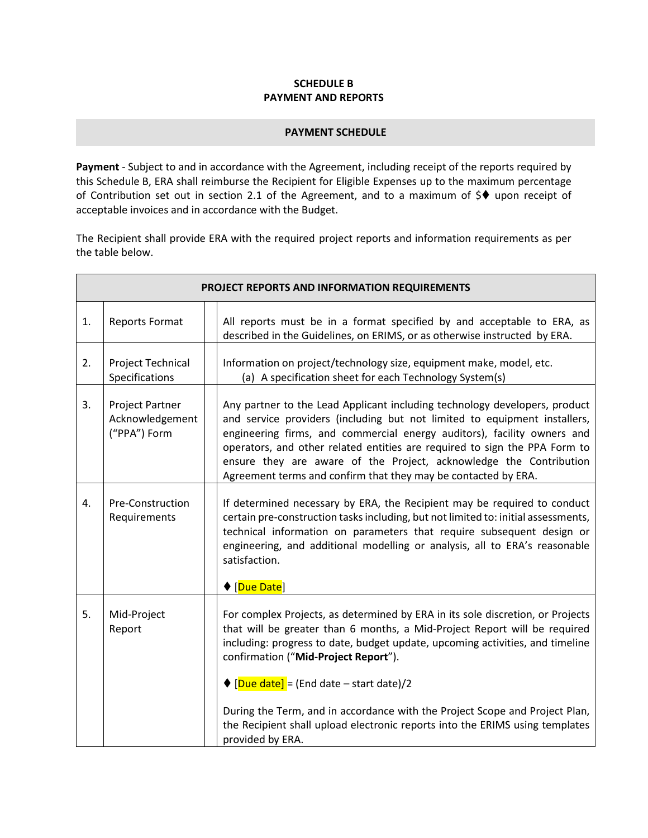## **SCHEDULE B PAYMENT AND REPORTS**

#### **PAYMENT SCHEDULE**

<span id="page-18-0"></span>**Payment** - Subject to and in accordance with the Agreement, including receipt of the reports required by this [Schedule](#page-18-0) B, ERA shall reimburse the Recipient for Eligible Expenses up to the maximum percentage of Contribution set out in section [2.1](#page-4-1) of the Agreement, and to a maximum of  $\Diamond\blacklozenge\blacklozenge$  upon receipt of acceptable invoices and in accordance with the Budget.

The Recipient shall provide ERA with the required project reports and information requirements as per the table below.

| PROJECT REPORTS AND INFORMATION REQUIREMENTS |                                                    |                                                                                                                                                                                                                                                                                                                                                                                                                                                                                                                              |  |  |
|----------------------------------------------|----------------------------------------------------|------------------------------------------------------------------------------------------------------------------------------------------------------------------------------------------------------------------------------------------------------------------------------------------------------------------------------------------------------------------------------------------------------------------------------------------------------------------------------------------------------------------------------|--|--|
| 1.                                           | Reports Format                                     | All reports must be in a format specified by and acceptable to ERA, as<br>described in the Guidelines, on ERIMS, or as otherwise instructed by ERA.                                                                                                                                                                                                                                                                                                                                                                          |  |  |
| 2.                                           | Project Technical<br>Specifications                | Information on project/technology size, equipment make, model, etc.<br>(a) A specification sheet for each Technology System(s)                                                                                                                                                                                                                                                                                                                                                                                               |  |  |
| 3.                                           | Project Partner<br>Acknowledgement<br>("PPA") Form | Any partner to the Lead Applicant including technology developers, product<br>and service providers (including but not limited to equipment installers,<br>engineering firms, and commercial energy auditors), facility owners and<br>operators, and other related entities are required to sign the PPA Form to<br>ensure they are aware of the Project, acknowledge the Contribution<br>Agreement terms and confirm that they may be contacted by ERA.                                                                     |  |  |
| 4.                                           | Pre-Construction<br>Requirements                   | If determined necessary by ERA, the Recipient may be required to conduct<br>certain pre-construction tasks including, but not limited to: initial assessments,<br>technical information on parameters that require subsequent design or<br>engineering, and additional modelling or analysis, all to ERA's reasonable<br>satisfaction.<br>◆ [Due Date]                                                                                                                                                                       |  |  |
| 5.                                           | Mid-Project<br>Report                              | For complex Projects, as determined by ERA in its sole discretion, or Projects<br>that will be greater than 6 months, a Mid-Project Report will be required<br>including: progress to date, budget update, upcoming activities, and timeline<br>confirmation ("Mid-Project Report").<br>$\bigcirc$ [Due date] = (End date – start date)/2<br>During the Term, and in accordance with the Project Scope and Project Plan,<br>the Recipient shall upload electronic reports into the ERIMS using templates<br>provided by ERA. |  |  |